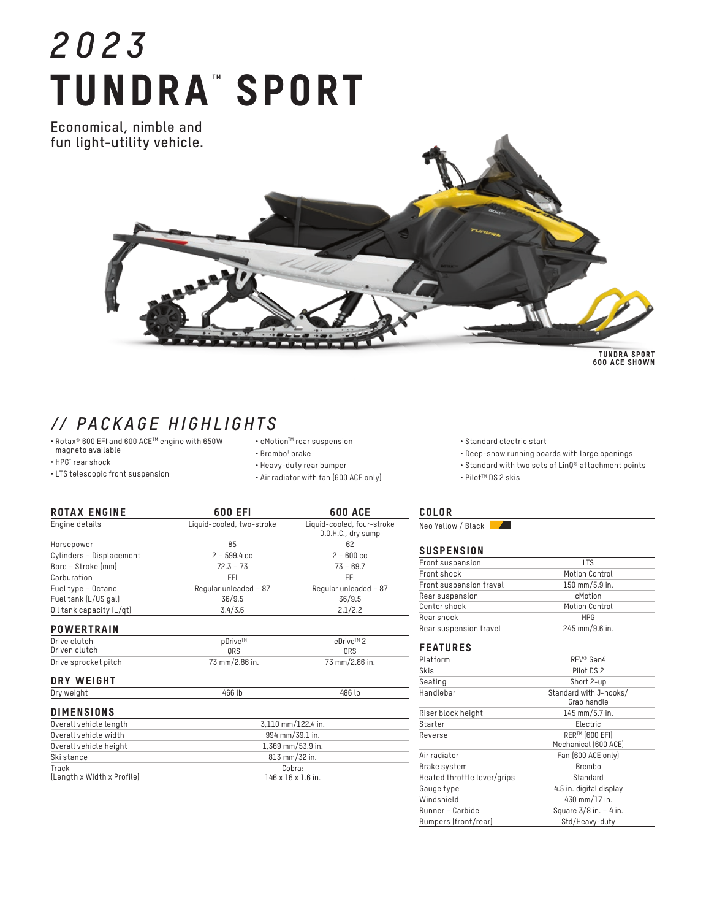# *2023* TUNDRA" SPORT

**Economical, nimble and fun light-utility vehicle.**



TUNDRA SPORT 600 ACE SHOWN

# *// PACKAGE HIGHLIGHTS*

- Rotax® 600 EFI and 600 ACETM engine with 650W magneto available
- $\cdot$  HPG† rear shock
- LTS telescopic front suspension
- $\boldsymbol{\cdot}$ cMotion $\boldsymbol{\cdot}$ rear suspension
- Brembo† brake
- Heavy-duty rear bumper
- Air radiator with fan (600 ACE only)

| <b>ROTAX ENGINE</b>           | 600 EFI                   | <b>600 ACE</b>                                   |
|-------------------------------|---------------------------|--------------------------------------------------|
| Engine details                | Liquid-cooled, two-stroke | Liquid-cooled, four-stroke<br>D.O.H.C., dry sump |
| Horsepower                    | 85                        | 62                                               |
| Cylinders - Displacement      | $2 - 599.4$ cc            | $2 - 600$ cc                                     |
| Bore - Stroke [mm]            | $72.3 - 73$               | $73 - 69.7$                                      |
| Carburation                   | EFI                       | EFI                                              |
| Fuel type - Octane            | Regular unleaded - 87     | Regular unleaded - 87                            |
| Fuel tank (L/US gal)          | 36/9.5                    | 36/9.5                                           |
| Oil tank capacity (L/qt)      | 3.4/3.6                   | 2.1/2.2                                          |
| <b>POWERTRAIN</b>             |                           |                                                  |
| Drive clutch<br>Driven clutch | pDrive™<br>ORS            | eDrive™ 2<br>ORS                                 |
| Drive sprocket pitch          | 73 mm/2.86 in.            | 73 mm/2.86 in.                                   |
| DRY WEIGHT                    |                           |                                                  |
| Dry weight                    | 466 lb                    | 486 lb                                           |

### **DIMENCIONS**

| <b>UIMENSIUNS</b>          |                                |  |
|----------------------------|--------------------------------|--|
| Overall vehicle length     | 3.110 mm/122.4 in.             |  |
| Overall vehicle width      | 994 mm/39.1 in.                |  |
| Overall vehicle height     | 1.369 mm/53.9 in.              |  |
| Ski stance                 | 813 mm/32 in.                  |  |
| Track                      | Cobra:                         |  |
| (Length x Width x Profile) | $146 \times 16 \times 1.6$ in. |  |

## • Standard with two sets of LinQ® attachment points

• Pilot™ DS 2 skis

• Standard electric start

COLOR Neo Yellow / Black

#### **SUSPENSION**

| <b>UUUI LIIUIUII</b>    |                       |
|-------------------------|-----------------------|
| Front suspension        | LTS                   |
| Front shock             | Motion Control        |
| Front suspension travel | 150 mm/5.9 in.        |
| Rear suspension         | cMotion               |
| Center shock            | <b>Motion Control</b> |
| Rear shock              | <b>HPG</b>            |
| Rear suspension travel  | 245 mm/9.6 in.        |
|                         |                       |

• Deep-snow running boards with large openings

#### FEATURES

| Platform                    | REV® Gen4                              |
|-----------------------------|----------------------------------------|
| Skis                        | Pilot DS 2                             |
| Seating                     | Short 2-up                             |
| Handlebar                   | Standard with J-hooks/<br>Grab handle  |
| Riser block height          | 145 mm/5.7 in.                         |
| Starter                     | Electric                               |
| Reverse                     | RER™ (600 EFI)<br>Mechanical (600 ACE) |
| Air radiator                | Fan (600 ACE only)                     |
| Brake system                | Brembo                                 |
| Heated throttle lever/grips | Standard                               |
| Gauge type                  | 4.5 in. digital display                |
| Windshield                  | 430 mm/17 in.                          |
| Runner - Carbide            | Square $3/8$ in. $-4$ in.              |
| Bumpers (front/rear)        | Std/Heavy-duty                         |
|                             |                                        |